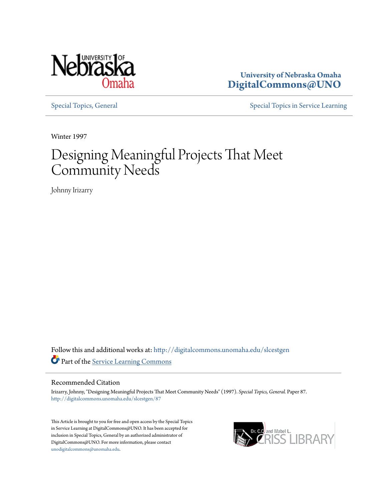

**University of Nebraska Omaha [DigitalCommons@UNO](http://digitalcommons.unomaha.edu?utm_source=digitalcommons.unomaha.edu%2Fslcestgen%2F87&utm_medium=PDF&utm_campaign=PDFCoverPages)**

[Special Topics, General](http://digitalcommons.unomaha.edu/slcestgen?utm_source=digitalcommons.unomaha.edu%2Fslcestgen%2F87&utm_medium=PDF&utm_campaign=PDFCoverPages) [Special Topics in Service Learning](http://digitalcommons.unomaha.edu/slcespecialtopics?utm_source=digitalcommons.unomaha.edu%2Fslcestgen%2F87&utm_medium=PDF&utm_campaign=PDFCoverPages)

Winter 1997

# Designing Meaningful Projects That Meet Community Needs

Johnny Irizarry

Follow this and additional works at: [http://digitalcommons.unomaha.edu/slcestgen](http://digitalcommons.unomaha.edu/slcestgen?utm_source=digitalcommons.unomaha.edu%2Fslcestgen%2F87&utm_medium=PDF&utm_campaign=PDFCoverPages) Part of the [Service Learning Commons](http://network.bepress.com/hgg/discipline/1024?utm_source=digitalcommons.unomaha.edu%2Fslcestgen%2F87&utm_medium=PDF&utm_campaign=PDFCoverPages)

### Recommended Citation

Irizarry, Johnny, "Designing Meaningful Projects That Meet Community Needs" (1997). *Special Topics, General.* Paper 87. [http://digitalcommons.unomaha.edu/slcestgen/87](http://digitalcommons.unomaha.edu/slcestgen/87?utm_source=digitalcommons.unomaha.edu%2Fslcestgen%2F87&utm_medium=PDF&utm_campaign=PDFCoverPages)

This Article is brought to you for free and open access by the Special Topics in Service Learning at DigitalCommons@UNO. It has been accepted for inclusion in Special Topics, General by an authorized administrator of DigitalCommons@UNO. For more information, please contact [unodigitalcommons@unomaha.edu](mailto:unodigitalcommons@unomaha.edu).

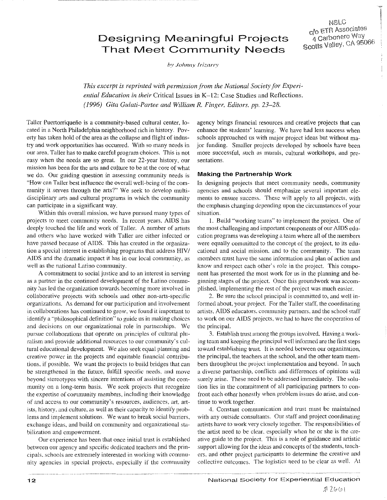## Designing Meaningful Projects That Meet Community Needs

*by Joltnn)' Irizarry* 

*This excerpt is reprinted with permission from the National Society for Experiential Education in their* Critical Issues in K-12: Case Studies and Reflections. *( /996) Gila Gulati-Partee and William R. Finger, Editors. pp. 23-28.* 

Taller Puertorriquefio is a community-based cultural center, located in a North Philadelphia neighborhood rich in history. Poverty has taken hold of the area as the collapse and flight of industry and work opportunities has occurred. With *so* many needs in our area. Taller has to make careful program choices. This is not easy when the needs are so great. In our 22-year history, our mission has been for the arts and culture to be at the core of what we do. Our guiding question in assessing community needs is "How can Taller best influence the overall well-being of the community it serves through the arts?" We seek to develop multidisciplinary arts and cultural programs in which the community can participate in a significant way.

Within this overall mission, we have pursued many types of projects to meet community needs. In recent years. AIDS has deeply touched the life and work of Taller. A number of artists and others who have worked with Taller are either infected or have passed because of AIDS. This has created in the organization a special interest in establishing programs that address HIV/ AIDS and the dramatic impact it has in our local community, as well as the national Latino community.

A commitment to social justice and to an interest in serving as a partner in the continued development of the Latino community has led the organization towards becoming more involved in collaborative projects with schools and other non-arts-specific organizations. As demand for our participation and involvement in collaborations has continued to grow, we found it important to identify a "philosophical definition" to guide us in making choices and decisions on our organizational role in partnerships. We pursue collaborations that operate on principles of cultural pluralism and provide additional resources to our community's cultural educational development. We also seek equal planning and creative power in the projects and equitable financial contributions. if possible. We want the projects to build bridges that can be strengthened in the future, fulfill specific needs, and move beyond stereotypes with sincere intentions of assisting the community on a long-term basis. We seek projects that recognize the expertise of community members, including their knowledge of and access to our community's resources, audiences, art. artists. history. and culture, as well as their capacity to identify problems and implement solutions. We want to break social barriers, exchange ideas, and build on community and organizational stabilization and empowerment.

Our experience has been that once initial trust is established between our agency and specific dedicated teachers and the principals. schools are extremely interested in working with community agencies in special projects. especially if the community

agency brings financial resources and creative projects that can enhance the students' learning. We have had less success when schools approached us with major project ideas but without major funding. Smaller projects developed by schools have been more successful, such as murals, cultural workshops, and presentations.

NSLC

c/o ETR Associates<br>4 Carbonero Way Scotts Valley, CA 95066

### Making the Partnership Work

In designing projects that meet community needs, community agencies and schools should emphasize several important elements to ensure success. These will apply to all projects, with the emphasis changing depending upon the circumstances of your situation.

I. Build "working teams" to implement the project. One of the most challenging and important components of our AIDS education programs was developing a team where all of the members were equally committed to the concept of the project, to its educational and social mission. and to the community. The team members must have the same information and plan of action and know and respect each other's role in the project. This component has presented the most work for us in the planning and beginning stages of the project. Once this groundwork was accomplished, implementing the rest of the project was much easier.

2. Be sure the school principal is committed to, and well informed about, your project. For the Taller staff, the coordinating artists, AIDS educators. community partners. and the school staff to work on our AIDS projects, we had to have the cooperation of the principal.

3. Establish trust among the groups involvecl. Having a working team and keeping the principal well informed are the first steps toward establishing trust. It is needed between our organization, the principal, the teachers at the school, and the other team members throughout the project implementation and beyond. In such a diverse parlnership, conflicts and differences of opinions will surely arise. These need to be addressed immediately. The solution lies in the commitment of all participating partners to confront each other honestly when problem issues do arise, and continue to work together.

*4.* Constant communication and trust must be maintained with any outside consultants. Our staff and project coordinating artists have to work very closely together. The responsibilities of the artist need to be clear. especially when he or she is the creative guide to the project. This is a role of guidance and artistic support allowing for the ideas and concepts of the students, teachers. and other project participants to determine the creative and collective outcomes. The logistics need to be clear as well. At